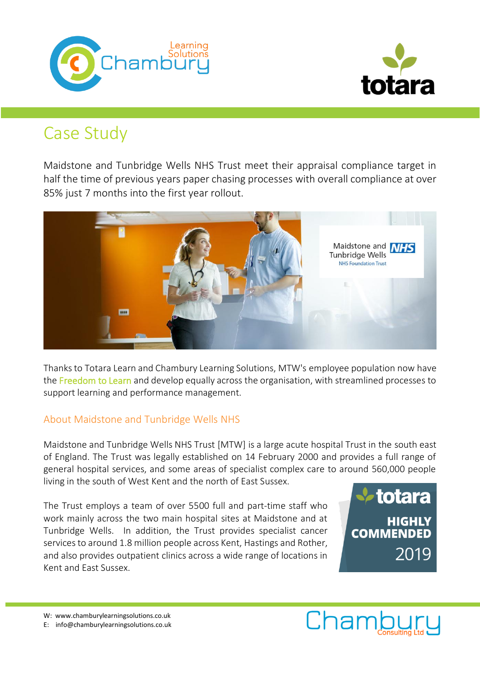



# Case Study

Maidstone and Tunbridge Wells NHS Trust meet their appraisal compliance target in half the time of previous years paper chasing processes with overall compliance at over 85% just 7 months into the first year rollout.



Thanks to Totara Learn and Chambury Learning Solutions, MTW's employee population now have the Freedom to Learn and develop equally across the organisation, with streamlined processes to support learning and performance management.

## About Maidstone and Tunbridge Wells NHS

Maidstone and Tunbridge Wells NHS Trust [MTW] is a large acute hospital Trust in the south east of England. The Trust was legally established on 14 February 2000 and provides a full range of general hospital services, and some areas of specialist complex care to around 560,000 people living in the south of West Kent and the north of East Sussex.

The Trust employs a team of over 5500 full and part-time staff who work mainly across the two main hospital sites at Maidstone and at Tunbridge Wells. In addition, the Trust provides specialist cancer services to around 1.8 million people across Kent, Hastings and Rother, and also provides outpatient clinics across a wide range of locations in Kent and East Sussex.



W: www.chamburylearningsolutions.co.uk

E: info@chamburylearningsolutions.co.uk

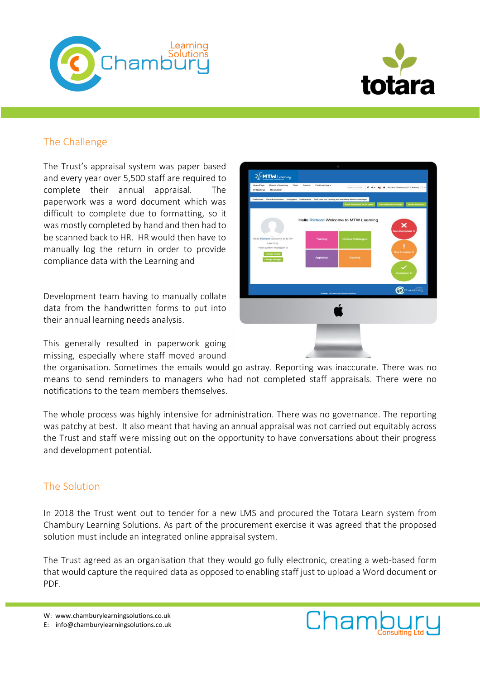



# The Challenge

The Trust's appraisal system was paper based and every year over 5,500 staff are required to complete their annual appraisal. The paperwork was a word document which was difficult to complete due to formatting, so it was mostly completed by hand and then had to be scanned back to HR. HR would then have to manually log the return in order to provide compliance data with the Learning and

Development team having to manually collate data from the handwritten forms to put into their annual learning needs analysis.

This generally resulted in paperwork going missing, especially where staff moved around



the organisation. Sometimes the emails would go astray. Reporting was inaccurate. There was no means to send reminders to managers who had not completed staff appraisals. There were no notifications to the team members themselves.

The whole process was highly intensive for administration. There was no governance. The reporting was patchy at best. It also meant that having an annual appraisal was not carried out equitably across the Trust and staff were missing out on the opportunity to have conversations about their progress and development potential.

#### The Solution

In 2018 the Trust went out to tender for a new LMS and procured the Totara Learn system from Chambury Learning Solutions. As part of the procurement exercise it was agreed that the proposed solution must include an integrated online appraisal system.

The Trust agreed as an organisation that they would go fully electronic, creating a web-based form that would capture the required data as opposed to enabling staff just to upload a Word document or PDF.

W: www.chamburylearningsolutions.co.uk



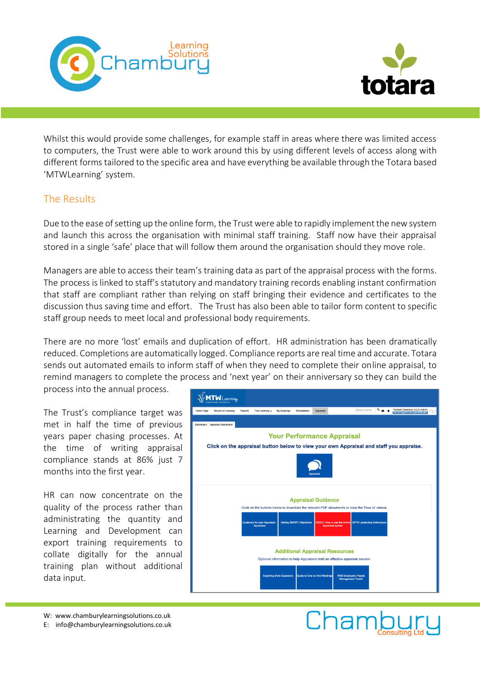



Whilst this would provide some challenges, for example staff in areas where there was limited access to computers, the Trust were able to work around this by using different levels of access along with different forms tailored to the specific area and have everything be available through the Totara based 'MTWLearning' system.

#### The Results

Due to the ease of setting up the online form, the Trust were able to rapidly implement the new system and launch this across the organisation with minimal staff training. Staff now have their appraisal stored in a single 'safe' place that will follow them around the organisation should they move role.

Managers are able to access their team's training data as part of the appraisal process with the forms. The process is linked to staff's statutory and mandatory training records enabling instant confirmation that staff are compliant rather than relying on staff bringing their evidence and certificates to the discussion thus saving time and effort. The Trust has also been able to tailor form content to specific staff group needs to meet local and professional body requirements.

There are no more 'lost' emails and duplication of effort. HR administration has been dramatically reduced. Completions are automatically logged. Compliance reports are real time and accurate. Totara sends out automated emails to inform staff of when they need to complete their online appraisal, to remind managers to complete the process and 'next year' on their anniversary so they can build the

process into the annual process.

The Trust's compliance target was met in half the time of previous years paper chasing processes. At the time of writing appraisal compliance stands at 86% just 7 months into the first year.

HR can now concentrate on the quality of the process rather than administrating the quantity and Learning and Development can export training requirements to collate digitally for the annual training plan without additional data input.



W: www.chamburylearningsolutions.co.uk

E: info@chamburylearningsolutions.co.uk